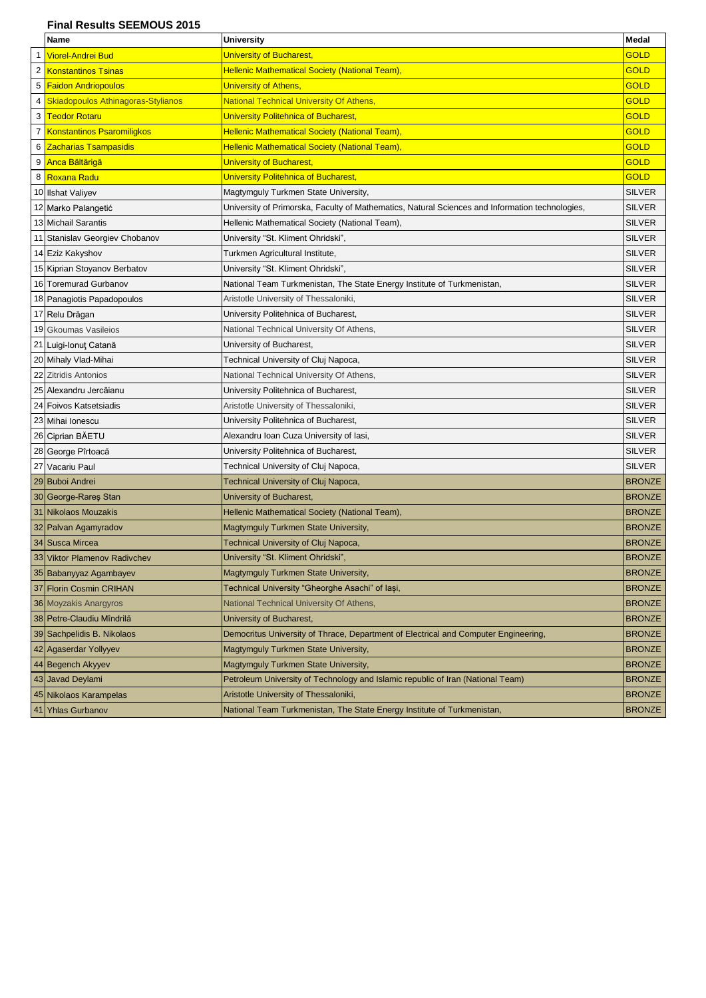## **Final Results SEEMOUS 2015**

|                | Name                                      | University                                                                                      | Medal         |
|----------------|-------------------------------------------|-------------------------------------------------------------------------------------------------|---------------|
|                | <b>Viorel-Andrei Bud</b>                  | University of Bucharest,                                                                        | <b>GOLD</b>   |
| 2              | <b>Konstantinos Tsinas</b>                | <b>Hellenic Mathematical Society (National Team)</b>                                            | <b>GOLD</b>   |
| 5              | <b>Faidon Andriopoulos</b>                | <b>University of Athens,</b>                                                                    | <b>GOLD</b>   |
| 4              | <b>Skiadopoulos Athinagoras-Stylianos</b> | <b>National Technical University Of Athens,</b>                                                 | <b>GOLD</b>   |
| 3              | <b>Teodor Rotaru</b>                      | <b>University Politehnica of Bucharest,</b>                                                     | <b>GOLD</b>   |
| $\overline{7}$ | Konstantinos Psaromiligkos                | <b>Hellenic Mathematical Society (National Team)</b>                                            | <b>GOLD</b>   |
| 6              | <b>Zacharias Tsampasidis</b>              | Hellenic Mathematical Society (National Team),                                                  | <b>GOLD</b>   |
| 9              | <b>Anca Băltărigă</b>                     | University of Bucharest,                                                                        | <b>GOLD</b>   |
| 8              | <b>Roxana Radu</b>                        | <b>University Politehnica of Bucharest</b>                                                      | <b>GOLD</b>   |
|                | 10 Ilshat Valiyev                         | Magtymguly Turkmen State University,                                                            | <b>SILVER</b> |
|                | 12 Marko Palangetić                       | University of Primorska, Faculty of Mathematics, Natural Sciences and Information technologies, | <b>SILVER</b> |
|                | 13 Michail Sarantis                       | Hellenic Mathematical Society (National Team),                                                  | <b>SILVER</b> |
|                | 11 Stanislav Georgiev Chobanov            | University "St. Kliment Ohridski",                                                              | <b>SILVER</b> |
|                | 14 Eziz Kakyshov                          | Turkmen Agricultural Institute,                                                                 | <b>SILVER</b> |
|                | 15 Kiprian Stoyanov Berbatov              | University "St. Kliment Ohridski",                                                              | <b>SILVER</b> |
|                | 16 Toremurad Gurbanov                     | National Team Turkmenistan, The State Energy Institute of Turkmenistan,                         | <b>SILVER</b> |
|                | 18 Panagiotis Papadopoulos                | Aristotle University of Thessaloniki,                                                           | <b>SILVER</b> |
|                | 17 Relu Drăgan                            | University Politehnica of Bucharest,                                                            | <b>SILVER</b> |
|                | 19 Gkoumas Vasileios                      | National Technical University Of Athens,                                                        | <b>SILVER</b> |
|                | 21 Luigi-Ionut Catană                     | University of Bucharest,                                                                        | <b>SILVER</b> |
|                | 20 Mihaly Vlad-Mihai                      | Technical University of Cluj Napoca,                                                            | <b>SILVER</b> |
| 22             | <b>Zitridis Antonios</b>                  | National Technical University Of Athens,                                                        | <b>SILVER</b> |
|                | 25 Alexandru Jercăianu                    | University Politehnica of Bucharest,                                                            | <b>SILVER</b> |
|                | 24 Foivos Katsetsiadis                    | Aristotle University of Thessaloniki,                                                           | <b>SILVER</b> |
|                | 23 Mihai Ionescu                          | University Politehnica of Bucharest,                                                            | <b>SILVER</b> |
|                | 26 Ciprian BAETU                          | Alexandru Ioan Cuza University of Iasi,                                                         | <b>SILVER</b> |
|                | 28 George Pîrtoacă                        | University Politehnica of Bucharest,                                                            | <b>SILVER</b> |
|                | 27 Vacariu Paul                           | Technical University of Cluj Napoca,                                                            | <b>SILVER</b> |
|                | 29 Buboi Andrei                           | Technical University of Cluj Napoca,                                                            | <b>BRONZE</b> |
|                | 30 George-Rareş Stan                      | University of Bucharest,                                                                        | <b>BRONZE</b> |
|                | 31 Nikolaos Mouzakis                      | Hellenic Mathematical Society (National Team),                                                  | <b>BRONZE</b> |
|                | 32 Palvan Agamyradov                      | Magtymguly Turkmen State University,                                                            | <b>BRONZE</b> |
|                | 34 Susca Mircea                           | Technical University of Cluj Napoca,                                                            | <b>BRONZE</b> |
|                | 33 Viktor Plamenov Radivchev              | University "St. Kliment Ohridski",                                                              | <b>BRONZE</b> |
|                | 35 Babanyyaz Agambayev                    | Magtymguly Turkmen State University,                                                            | <b>BRONZE</b> |
| 37             | <b>Florin Cosmin CRIHAN</b>               | Technical University "Gheorghe Asachi" of lasi,                                                 | <b>BRONZE</b> |
| 36             | <b>Moyzakis Anargyros</b>                 | National Technical University Of Athens,                                                        | <b>BRONZE</b> |
|                | 38 Petre-Claudiu Mîndrilă                 | University of Bucharest,                                                                        | <b>BRONZE</b> |
|                | 39 Sachpelidis B. Nikolaos                | Democritus University of Thrace, Department of Electrical and Computer Engineering,             | <b>BRONZE</b> |
|                | 42 Agaserdar Yollyyev                     | Magtymguly Turkmen State University,                                                            | <b>BRONZE</b> |
| 44             | Begench Akyyev                            | Magtymguly Turkmen State University,                                                            | <b>BRONZE</b> |
|                | 43 Javad Deylami                          | Petroleum University of Technology and Islamic republic of Iran (National Team)                 | <b>BRONZE</b> |
|                | 45 Nikolaos Karampelas                    | Aristotle University of Thessaloniki,                                                           | <b>BRONZE</b> |
| 41             | <b>Yhlas Gurbanov</b>                     | National Team Turkmenistan, The State Energy Institute of Turkmenistan,                         | <b>BRONZE</b> |